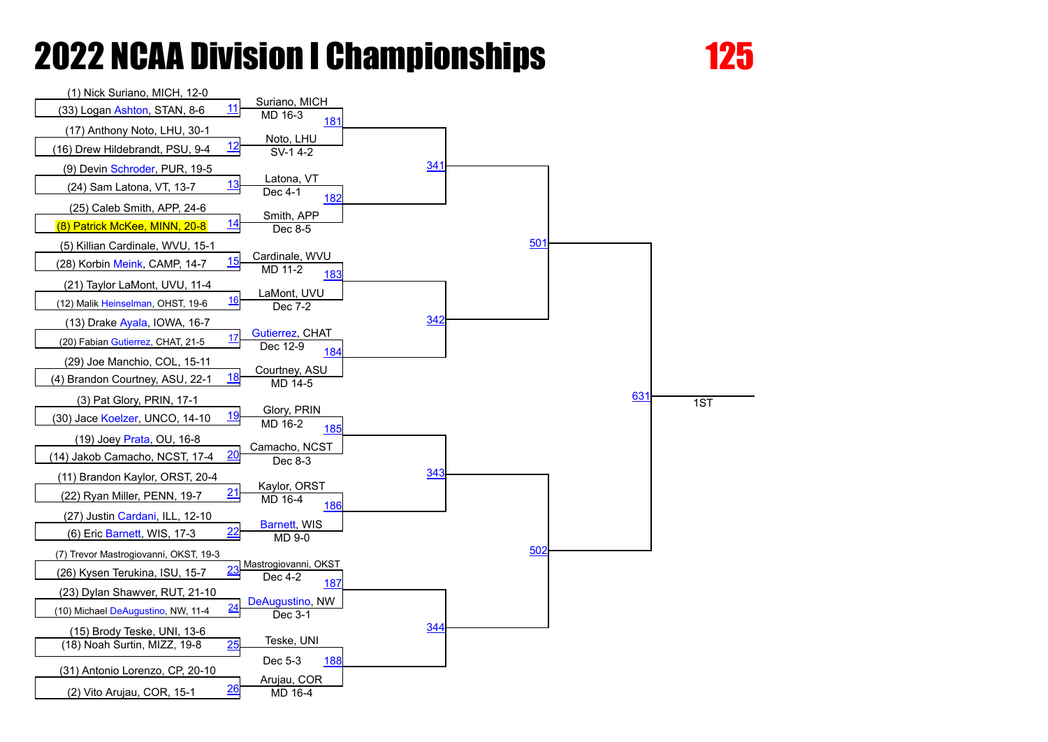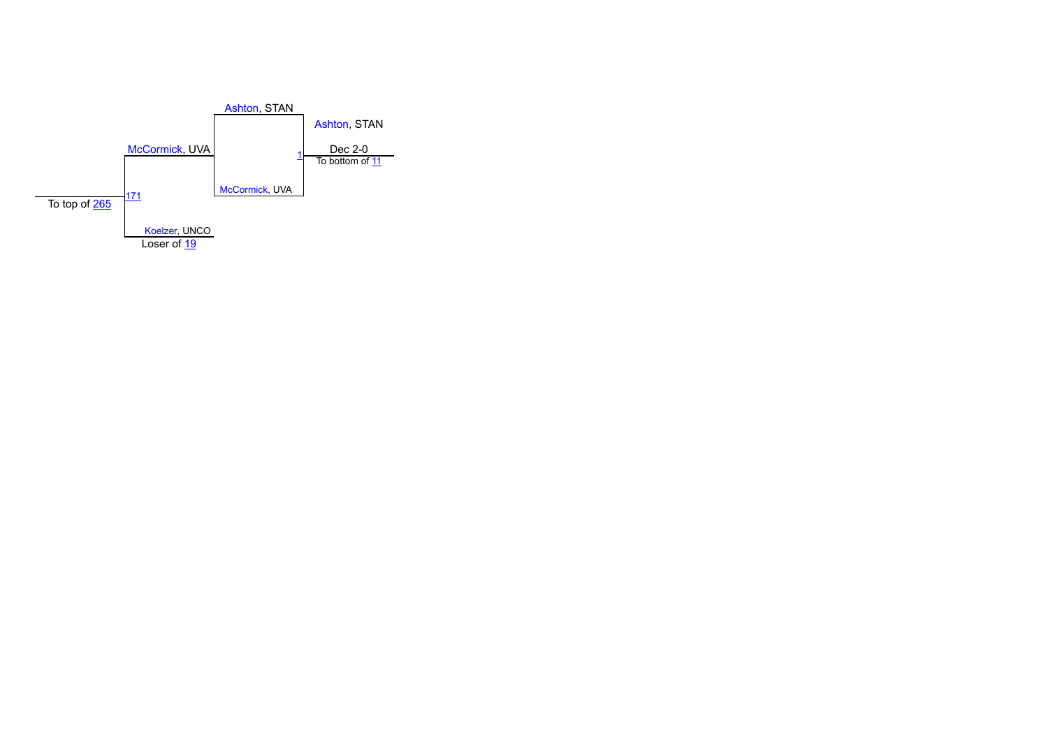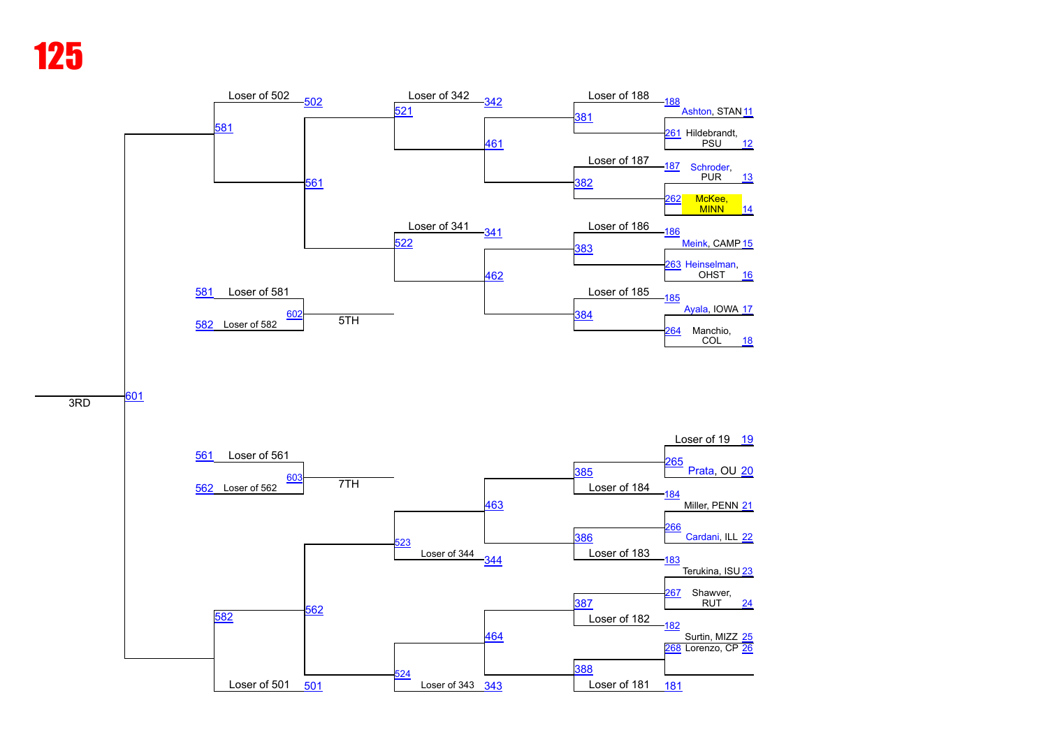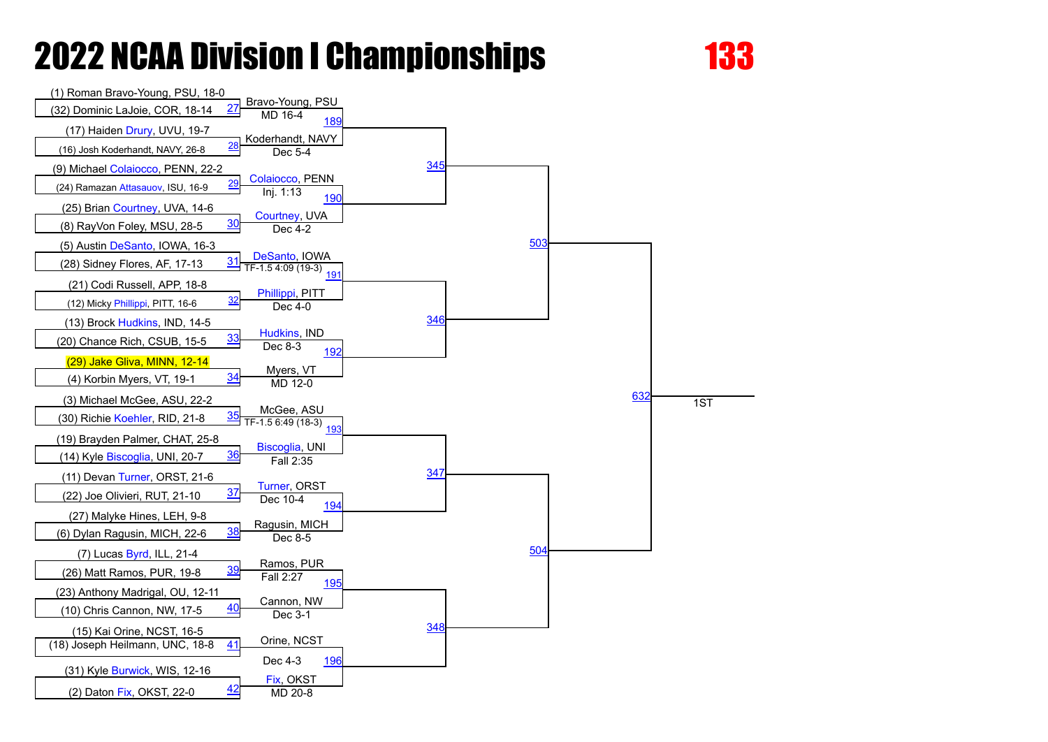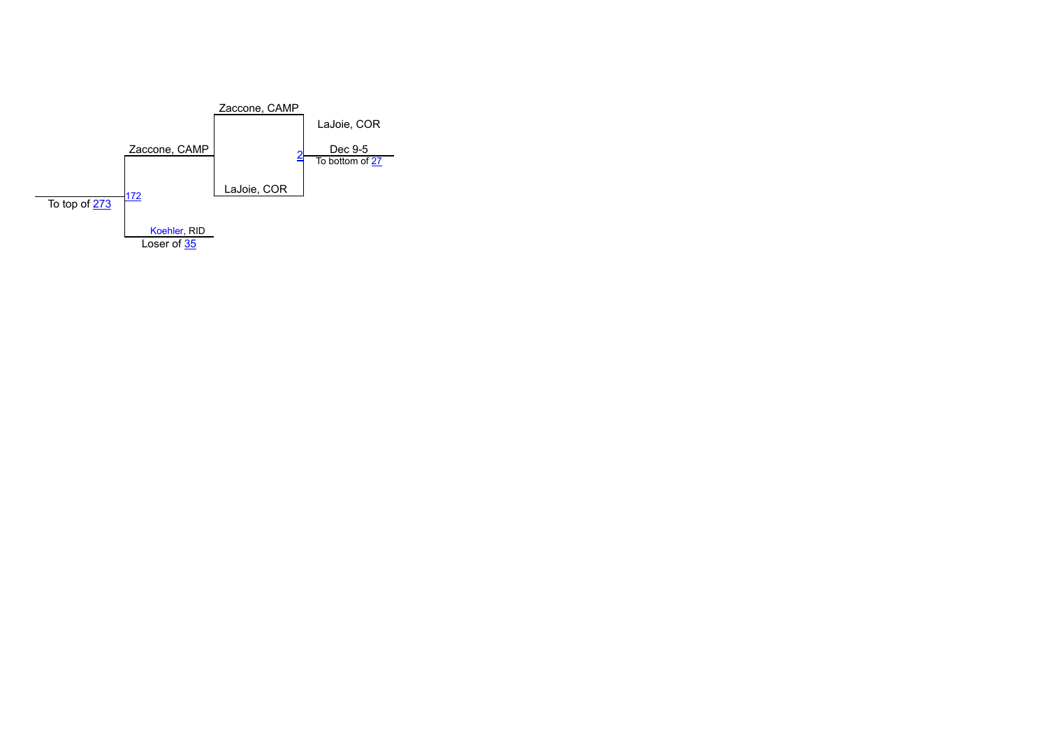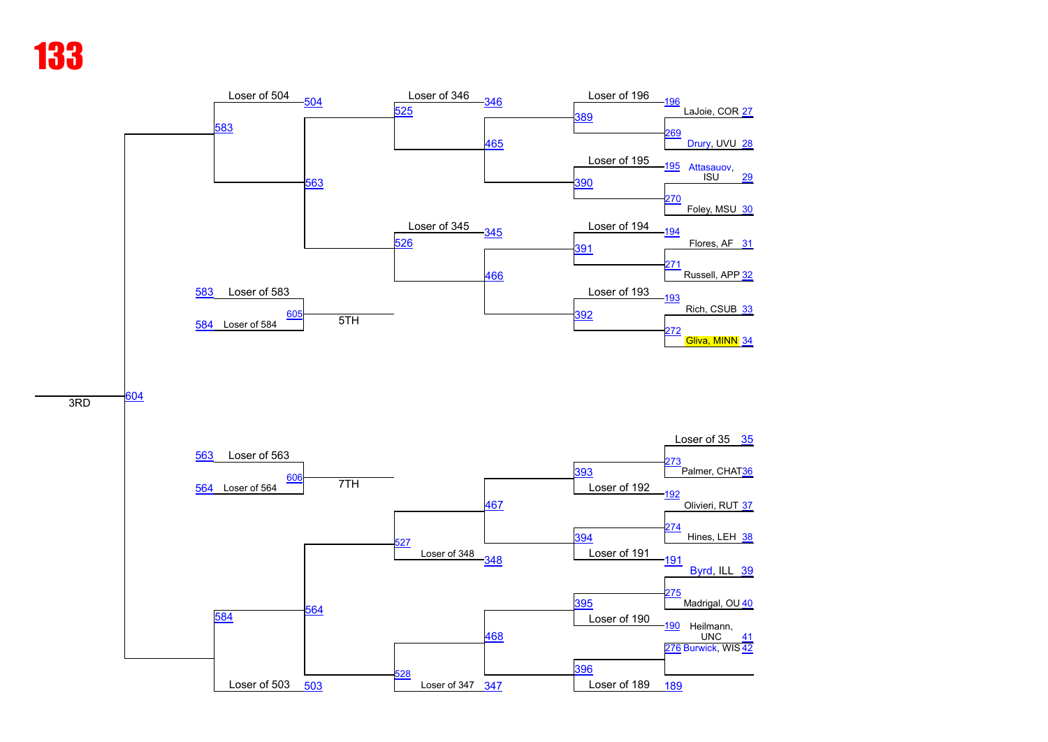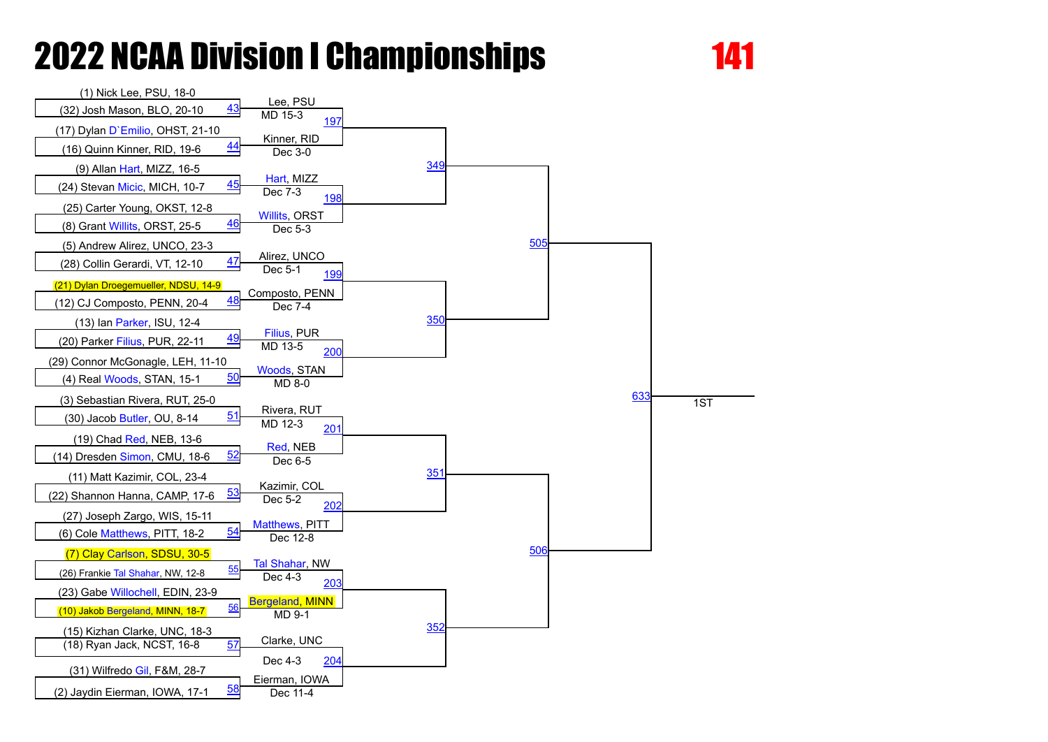

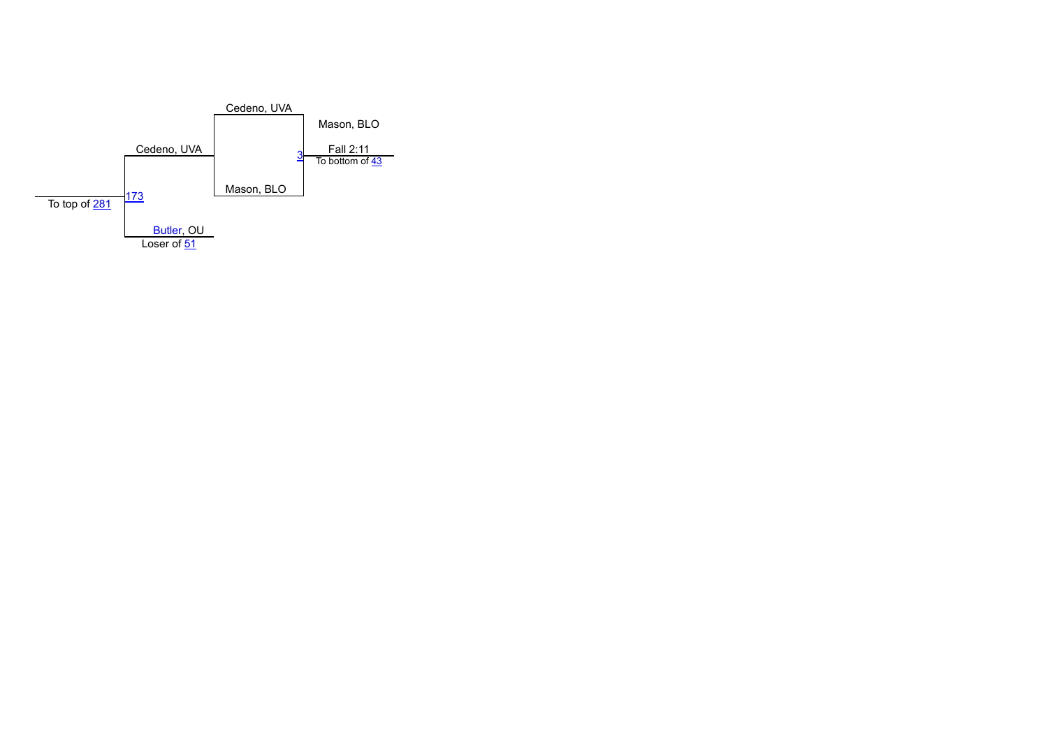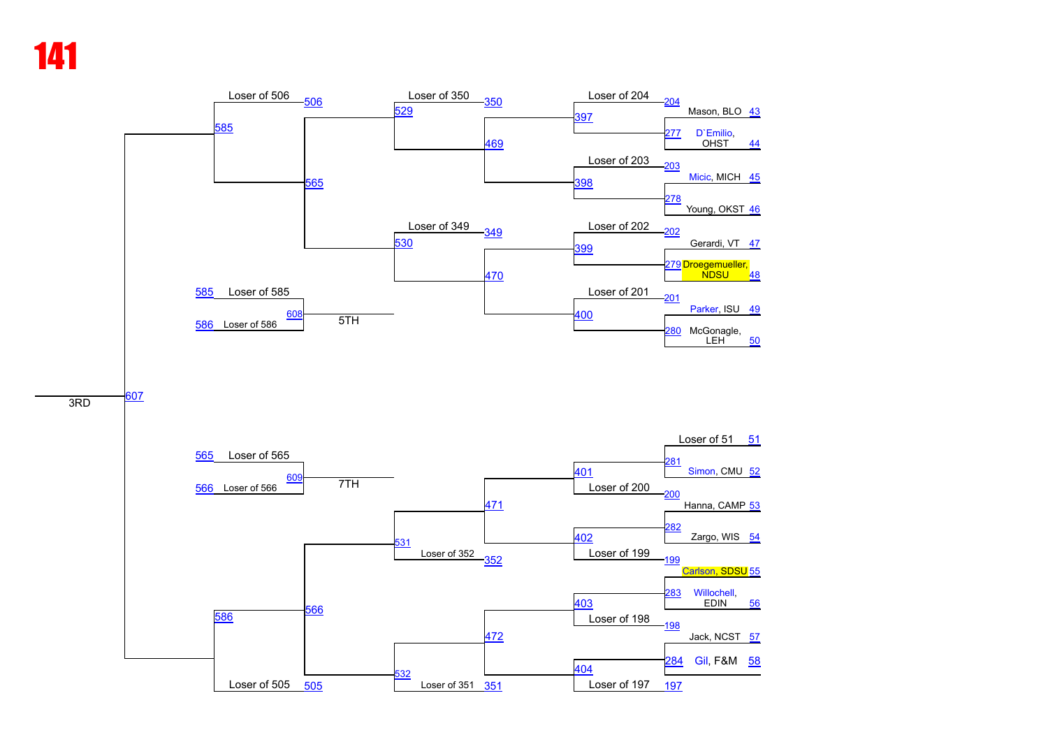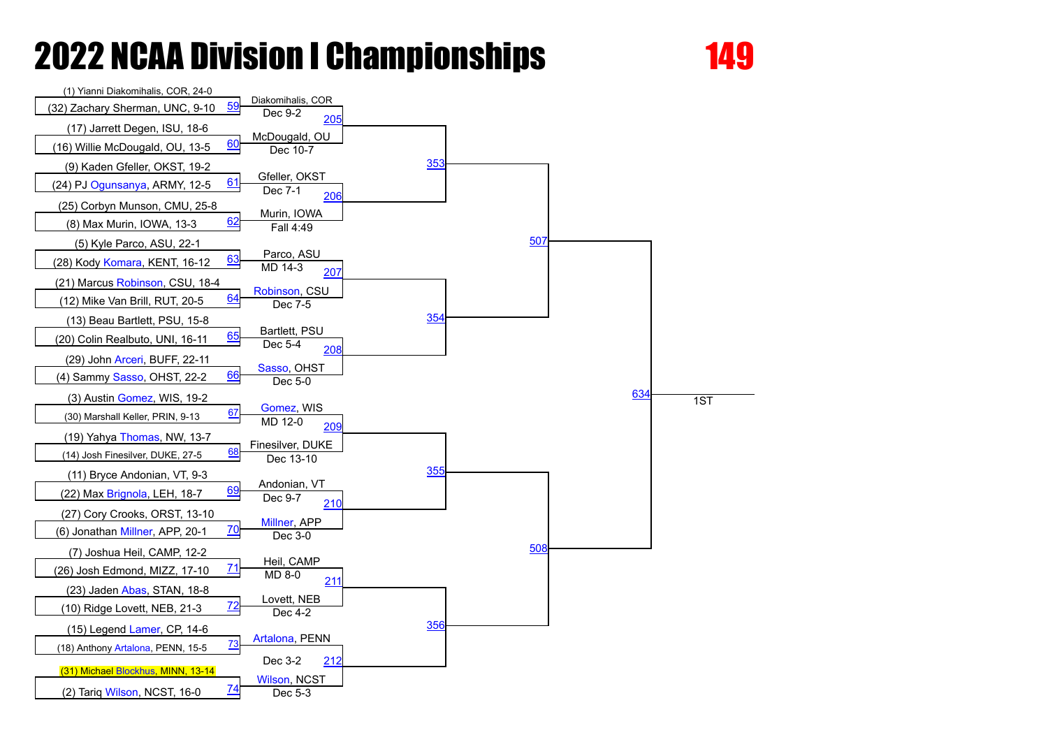

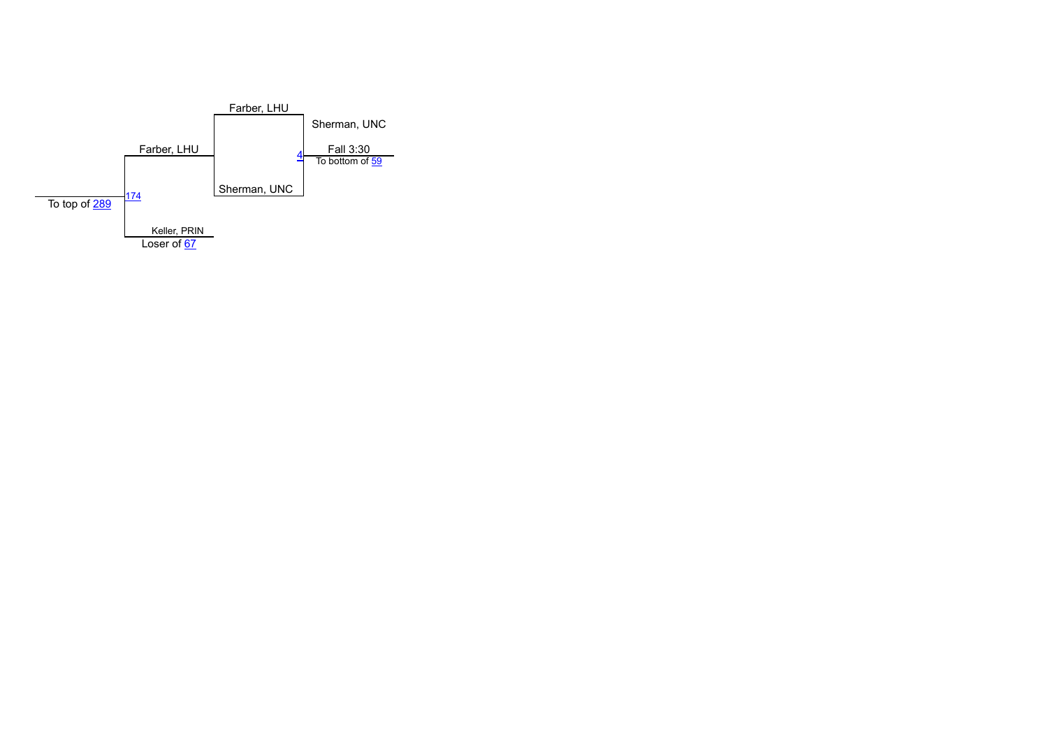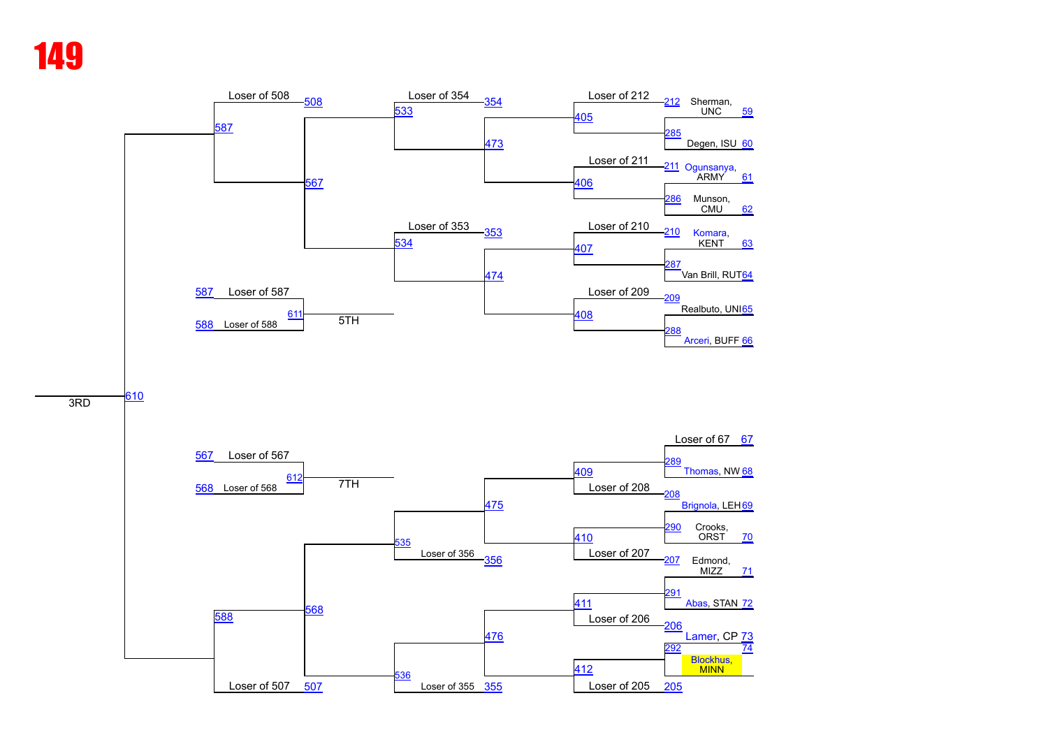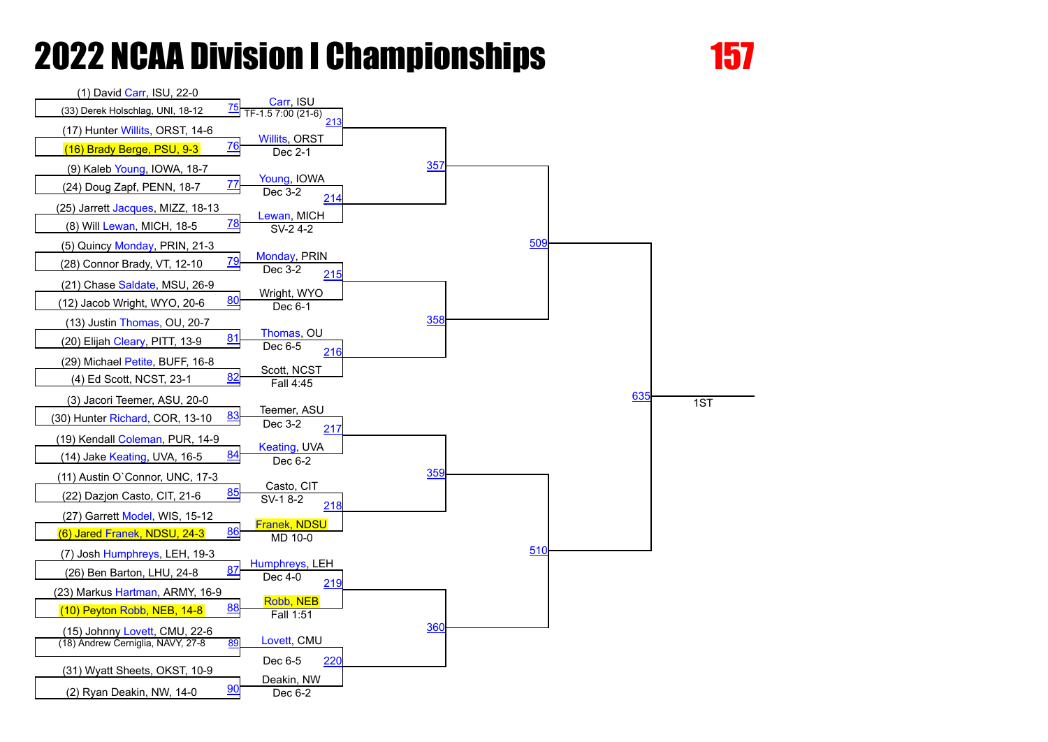

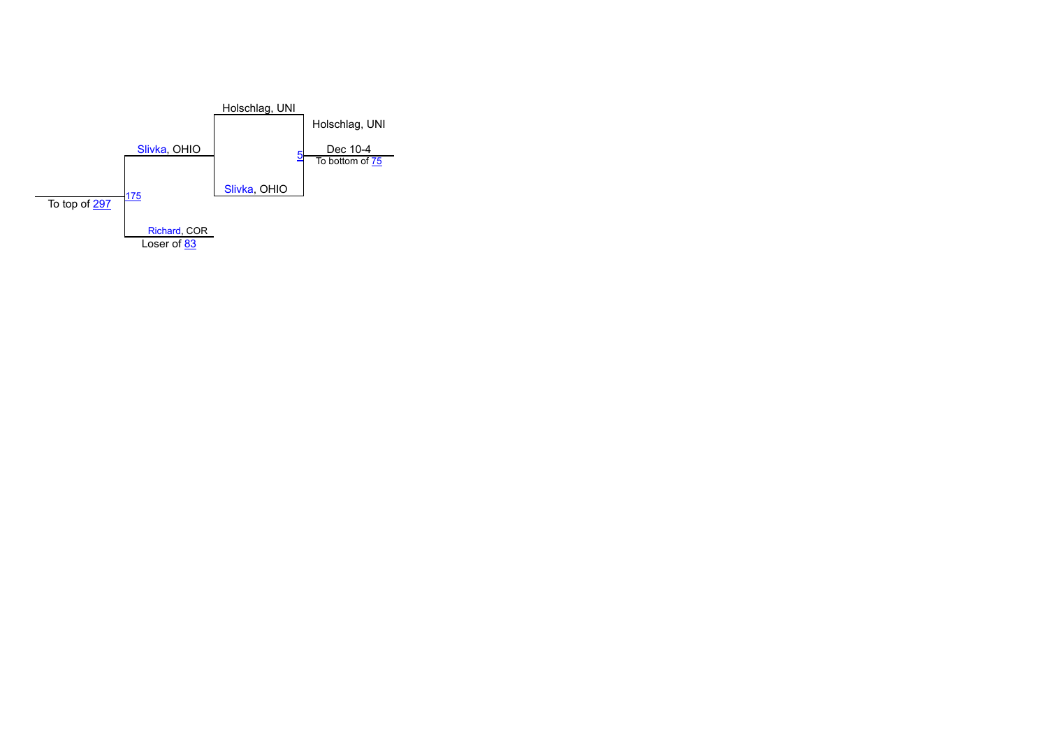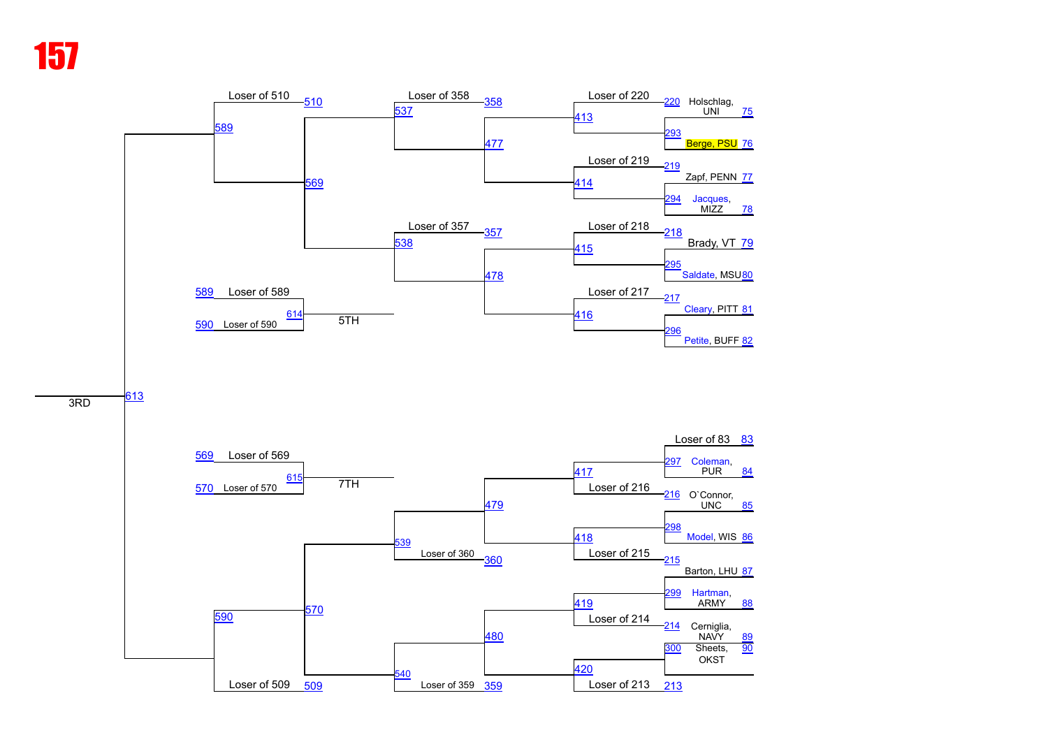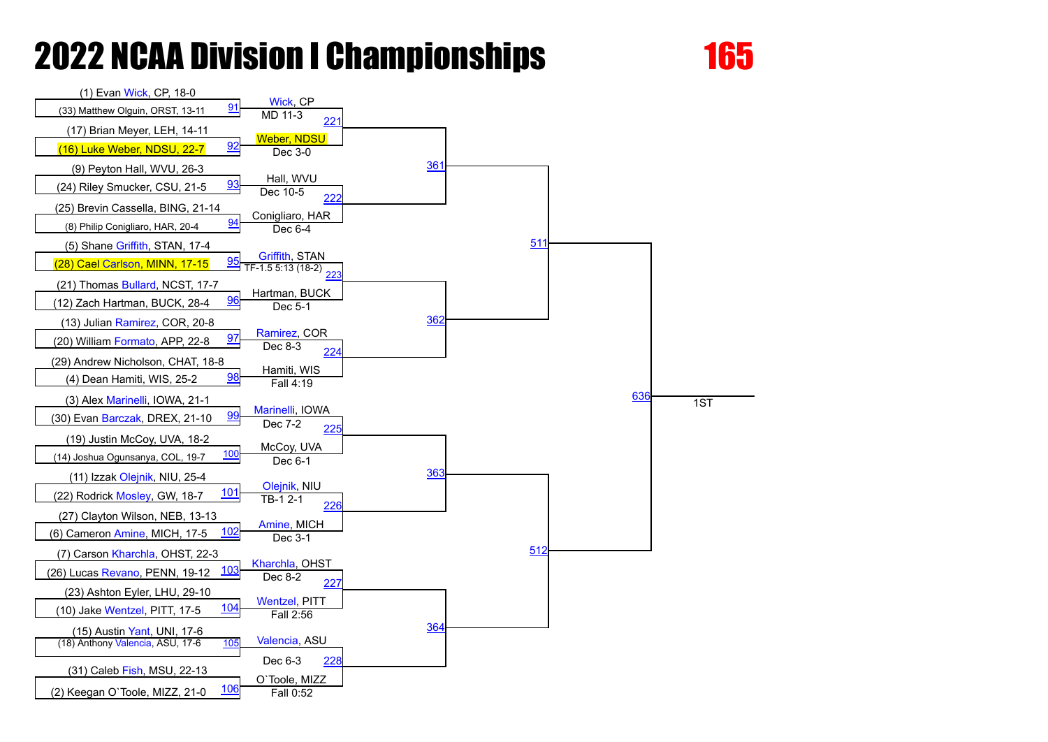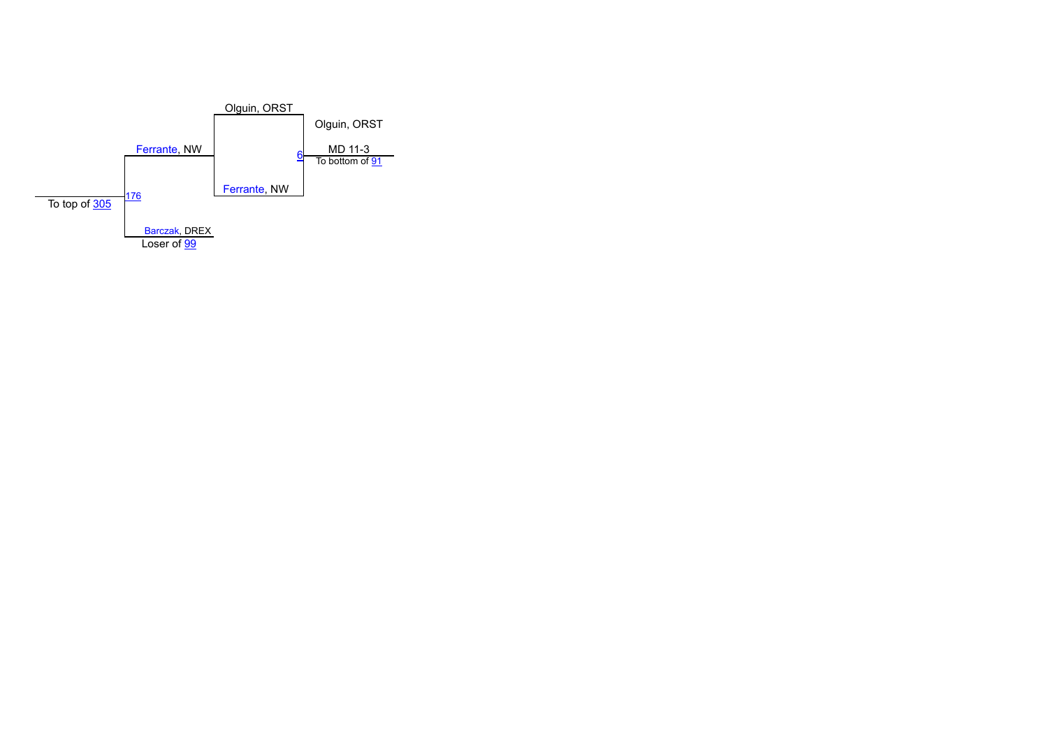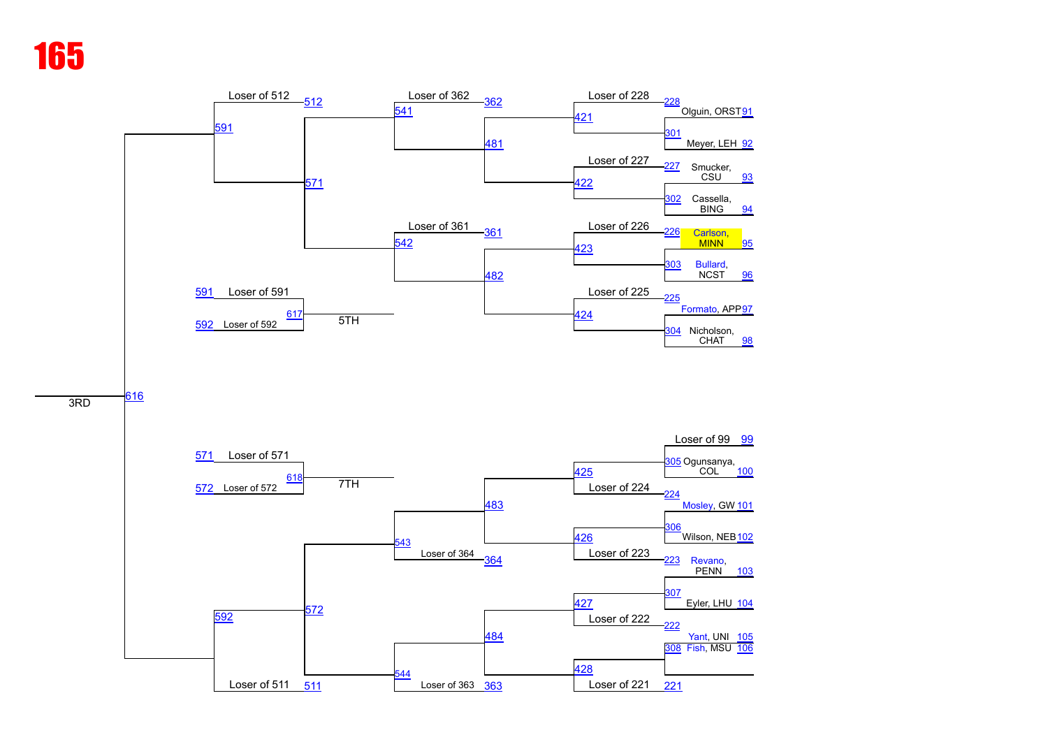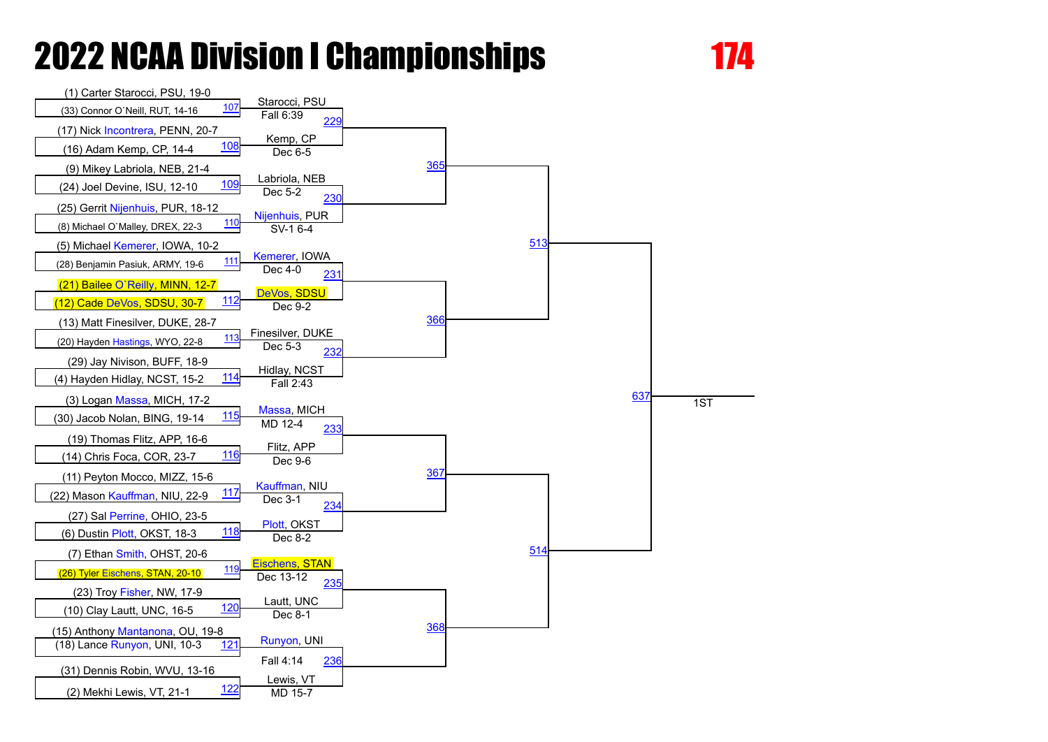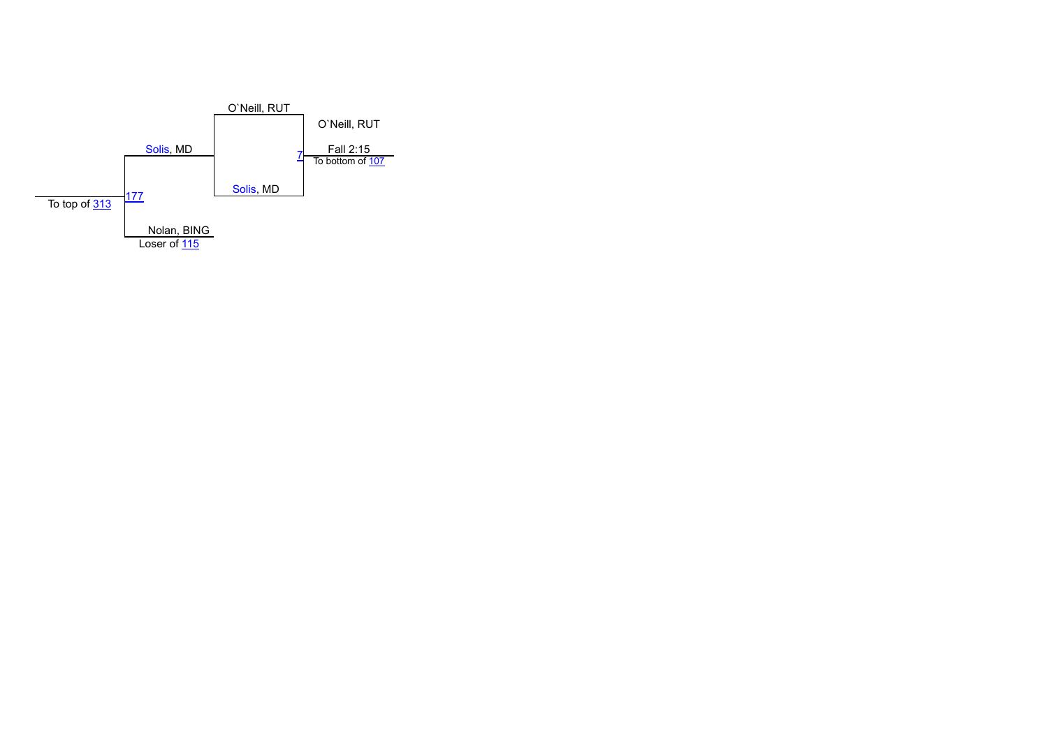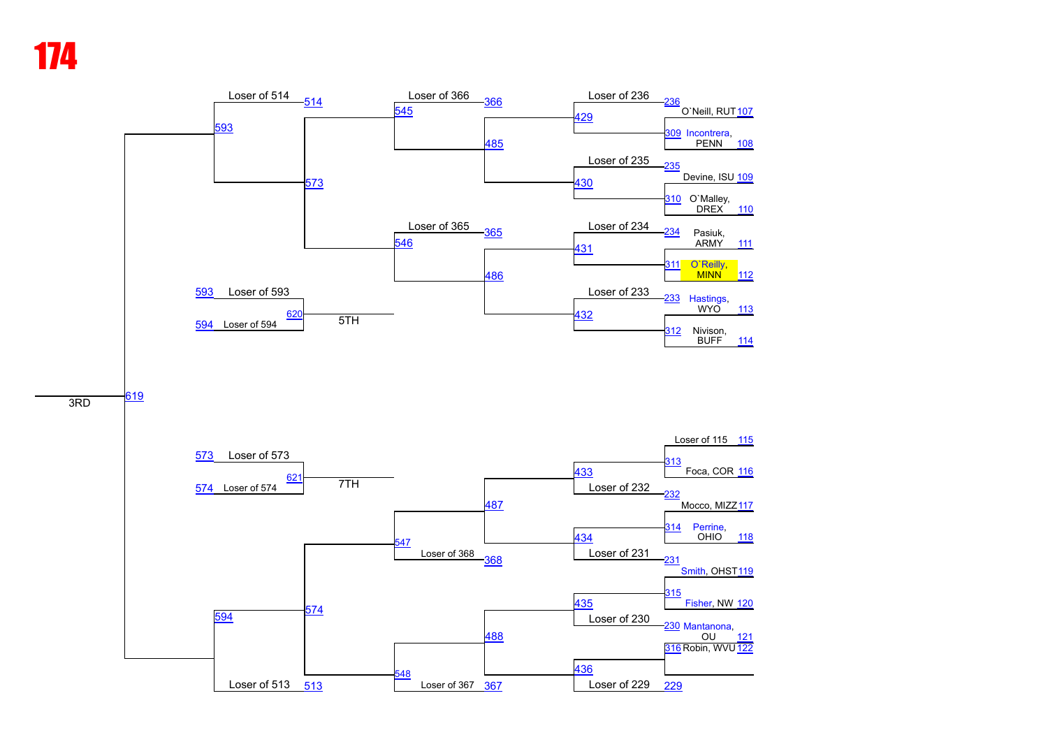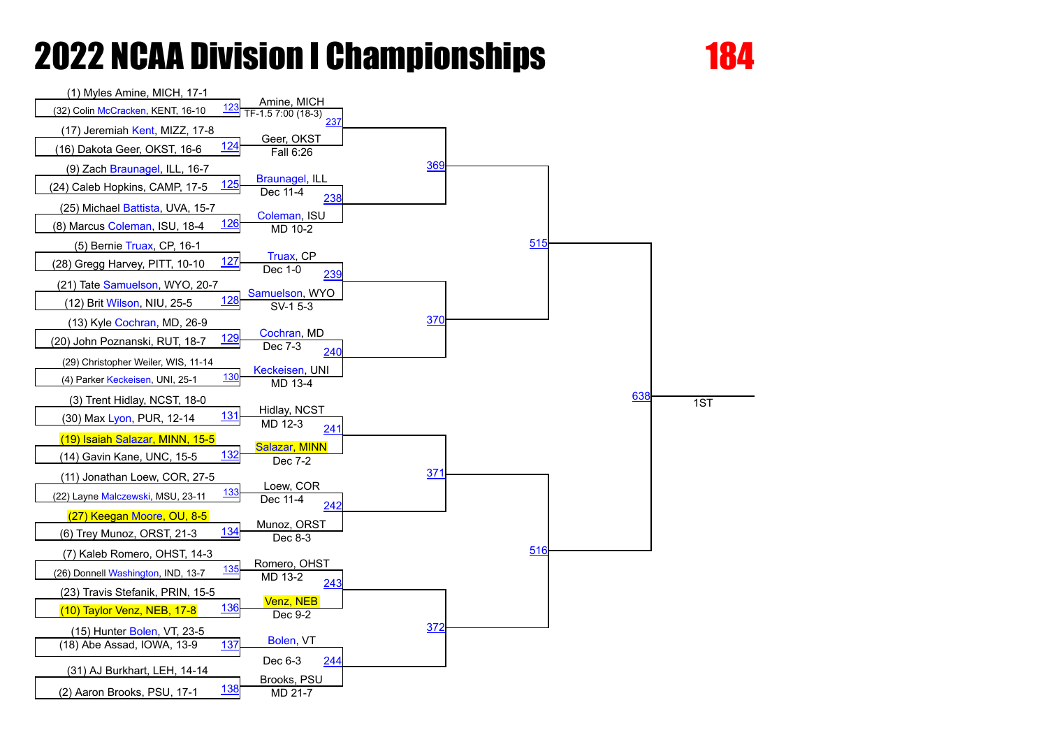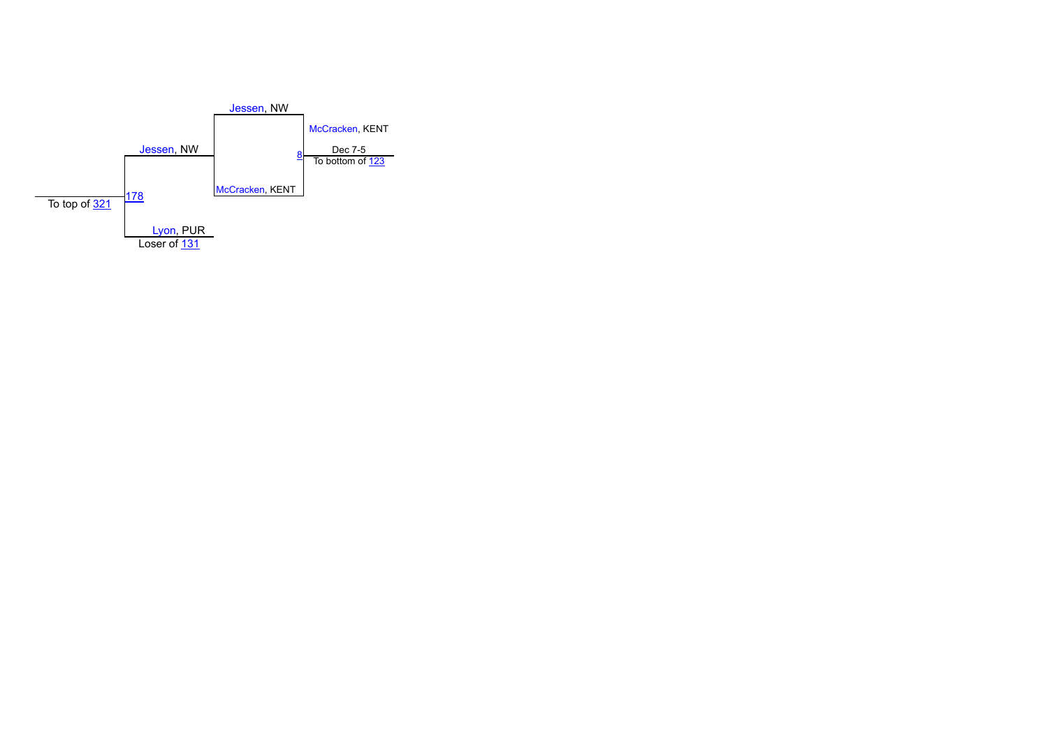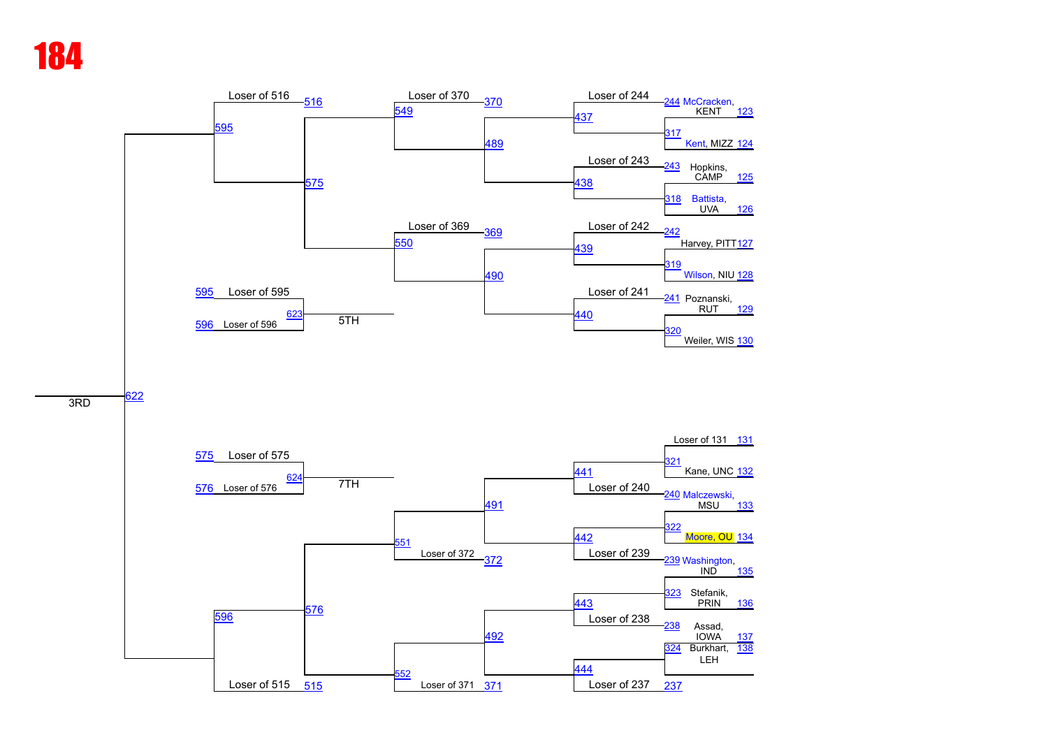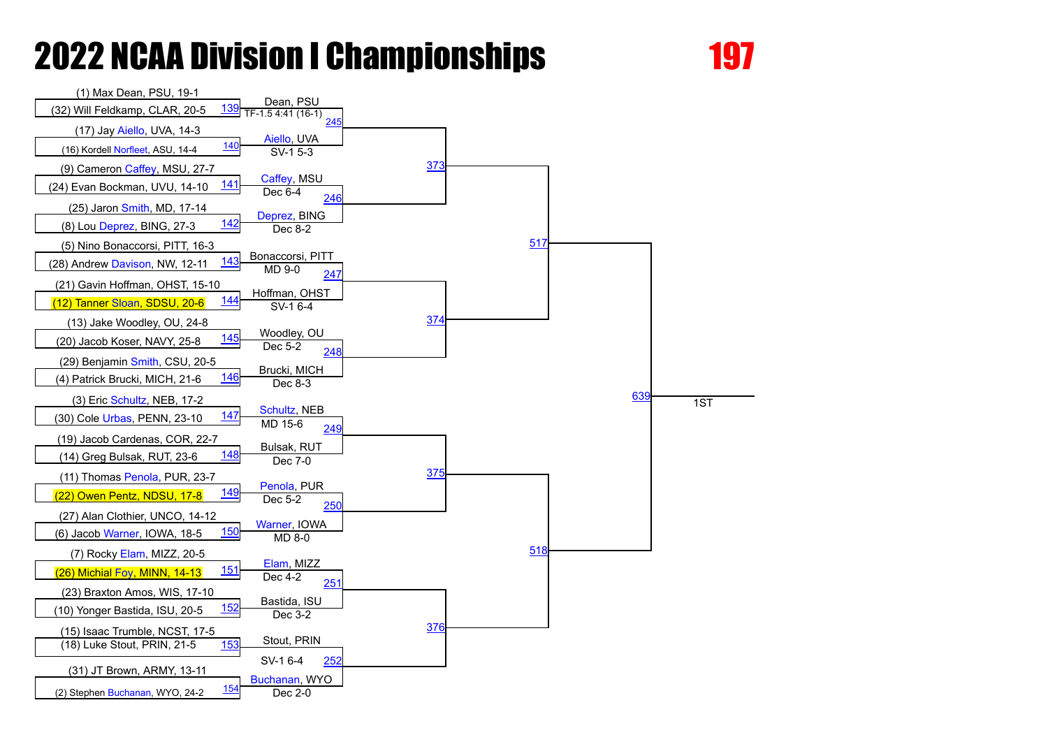

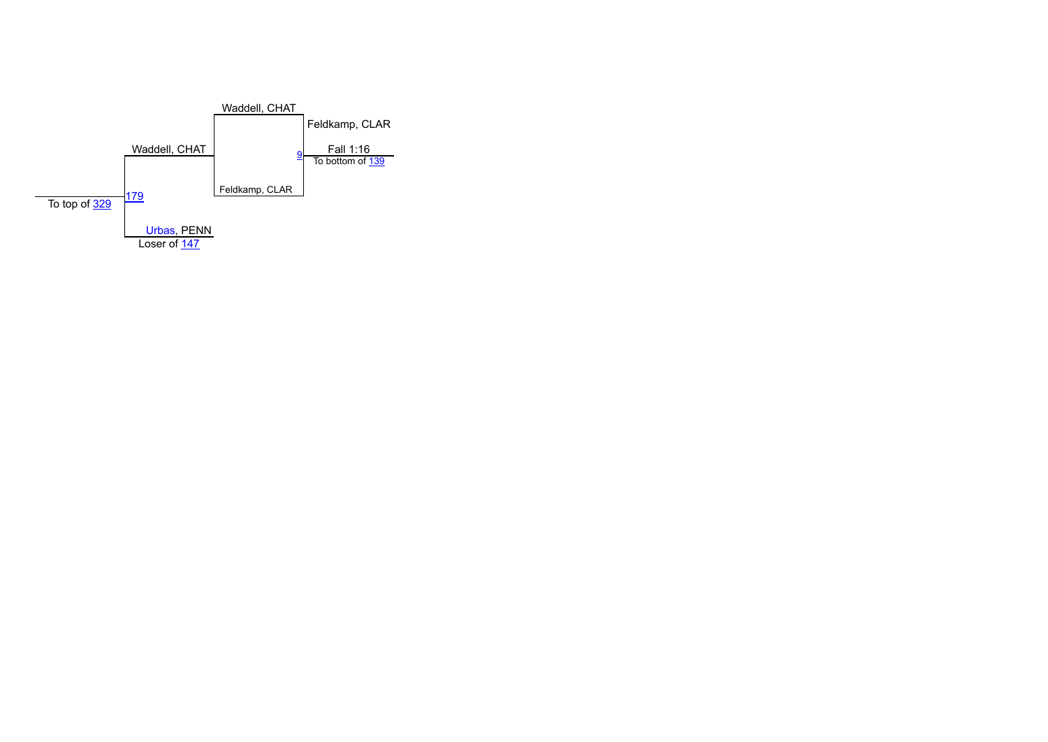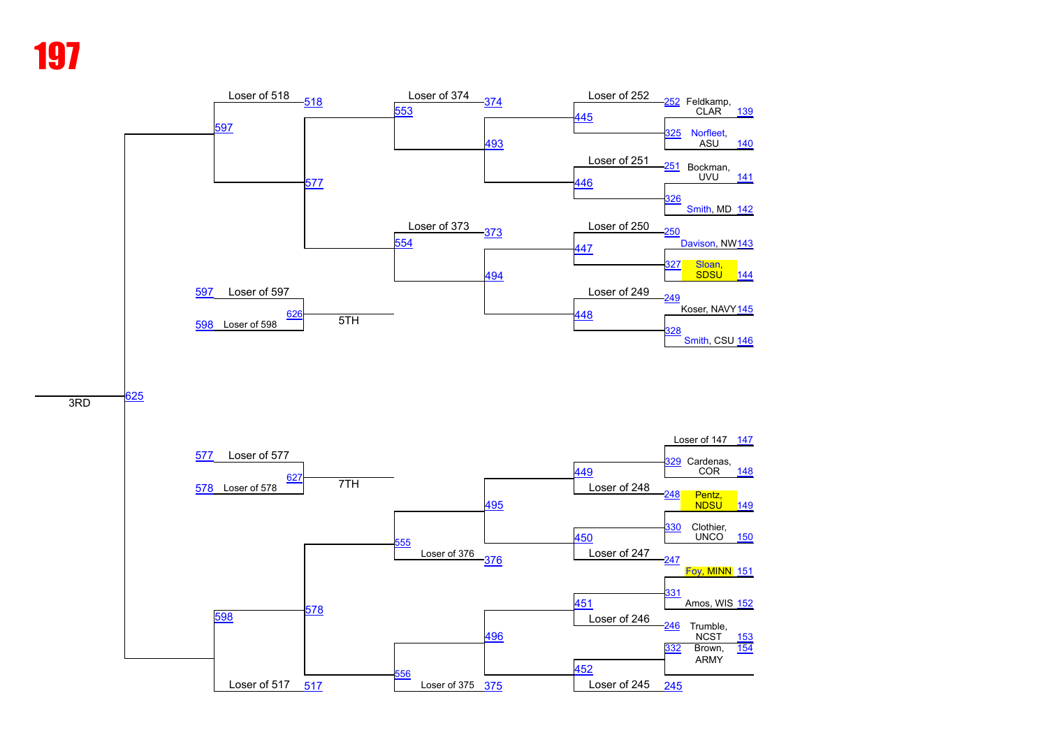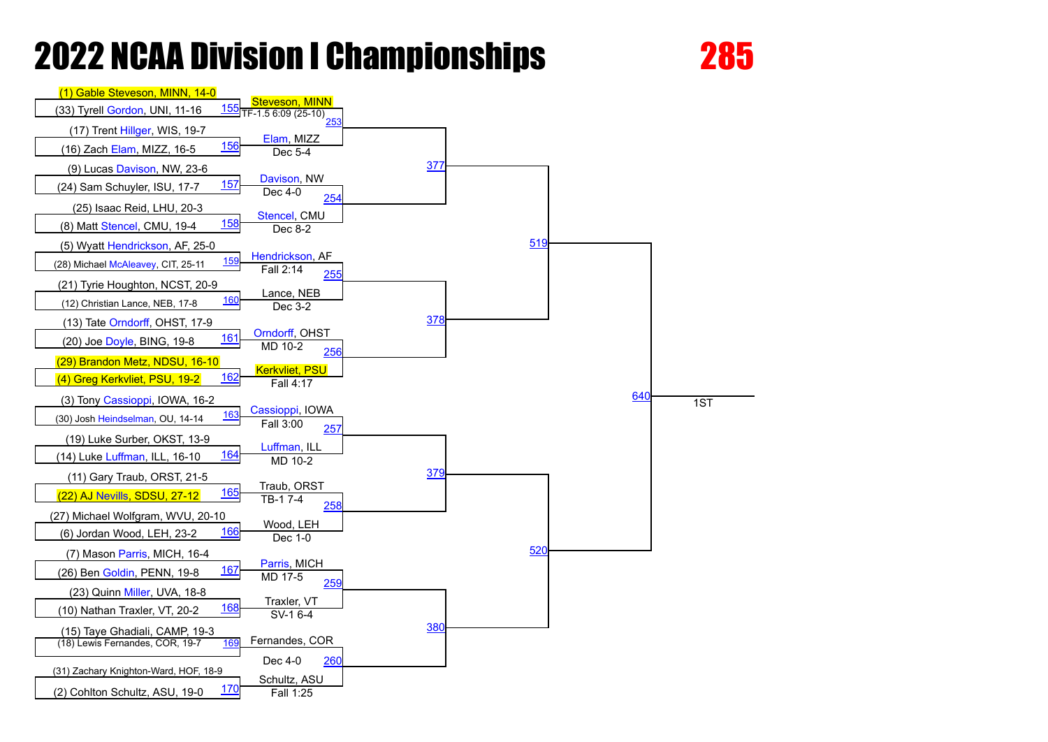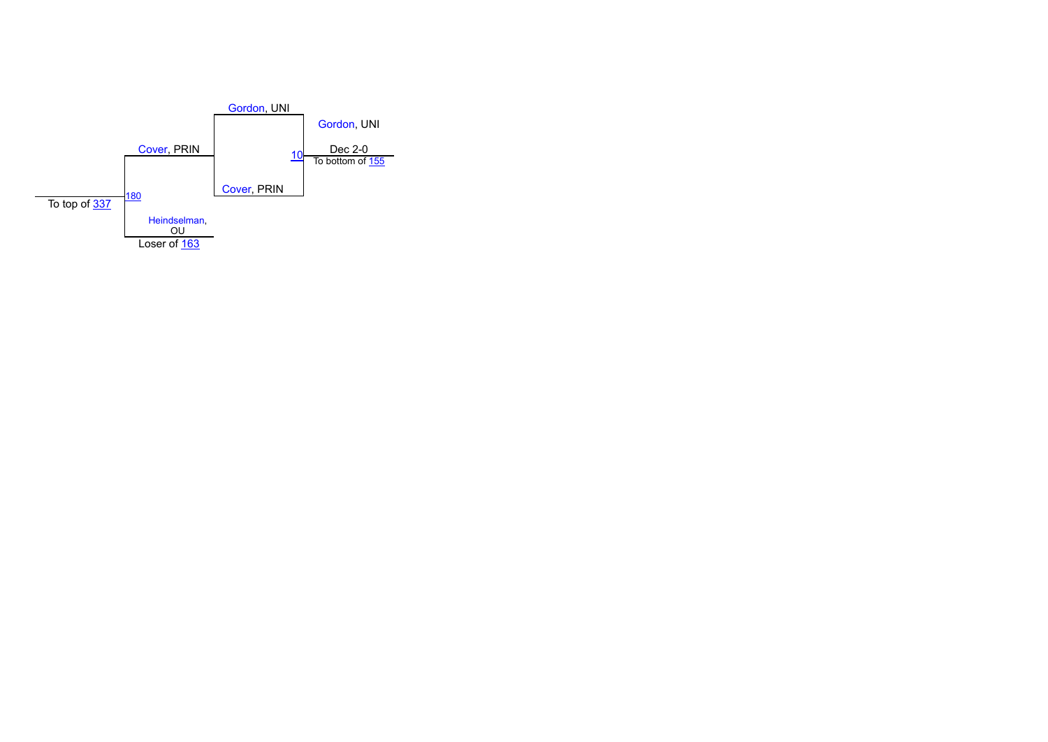